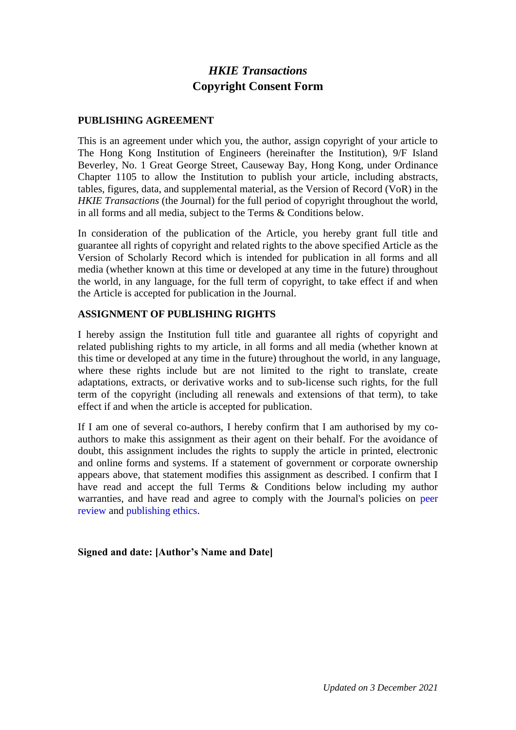# *HKIE Transactions* **Copyright Consent Form**

## **PUBLISHING AGREEMENT**

This is an agreement under which you, the author, assign copyright of your article to The Hong Kong Institution of Engineers (hereinafter the Institution), 9/F Island Beverley, No. 1 Great George Street, Causeway Bay, Hong Kong, under Ordinance Chapter 1105 to allow the Institution to publish your article, including abstracts, tables, figures, data, and supplemental material, as the Version of Record (VoR) in the *HKIE Transactions* (the Journal) for the full period of copyright throughout the world, in all forms and all media, subject to the Terms & Conditions below.

In consideration of the publication of the Article, you hereby grant full title and guarantee all rights of copyright and related rights to the above specified Article as the Version of Scholarly Record which is intended for publication in all forms and all media (whether known at this time or developed at any time in the future) throughout the world, in any language, for the full term of copyright, to take effect if and when the Article is accepted for publication in the Journal.

## **ASSIGNMENT OF PUBLISHING RIGHTS**

I hereby assign the Institution full title and guarantee all rights of copyright and related publishing rights to my article, in all forms and all media (whether known at this time or developed at any time in the future) throughout the world, in any language, where these rights include but are not limited to the right to translate, create adaptations, extracts, or derivative works and to sub-license such rights, for the full term of the copyright (including all renewals and extensions of that term), to take effect if and when the article is accepted for publication.

If I am one of several co-authors, I hereby confirm that I am authorised by my coauthors to make this assignment as their agent on their behalf. For the avoidance of doubt, this assignment includes the rights to supply the article in printed, electronic and online forms and systems. If a statement of government or corporate ownership appears above, that statement modifies this assignment as described. I confirm that I have read and accept the full Terms & Conditions below including my author warranties, and have read and agree to comply with the Journal's policies on peer review and publishing ethics.

### **Signed and date: [Author's Name and Date]**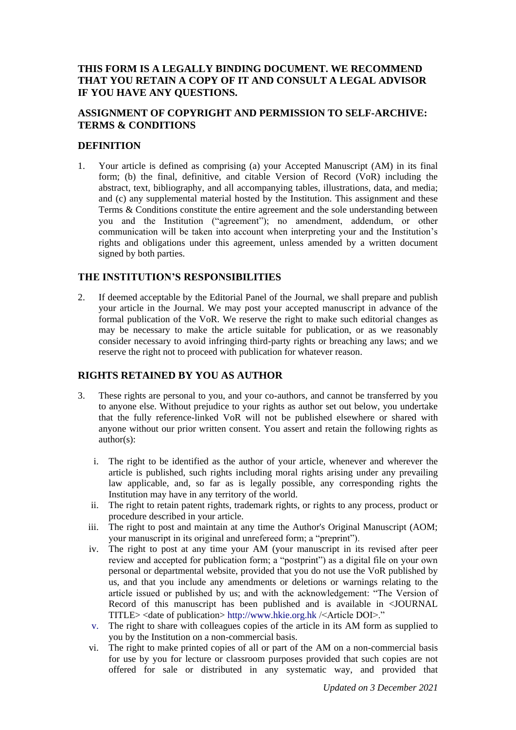## **THIS FORM IS A LEGALLY BINDING DOCUMENT. WE RECOMMEND THAT YOU RETAIN A COPY OF IT AND CONSULT A LEGAL ADVISOR IF YOU HAVE ANY QUESTIONS.**

## **ASSIGNMENT OF COPYRIGHT AND PERMISSION TO SELF-ARCHIVE: TERMS & CONDITIONS**

#### **DEFINITION**

1. Your article is defined as comprising (a) your Accepted Manuscript (AM) in its final form; (b) the final, definitive, and citable Version of Record (VoR) including the abstract, text, bibliography, and all accompanying tables, illustrations, data, and media; and (c) any supplemental material hosted by the Institution. This assignment and these Terms & Conditions constitute the entire agreement and the sole understanding between you and the Institution ("agreement"); no amendment, addendum, or other communication will be taken into account when interpreting your and the Institution's rights and obligations under this agreement, unless amended by a written document signed by both parties.

### **THE INSTITUTION'S RESPONSIBILITIES**

2. If deemed acceptable by the Editorial Panel of the Journal, we shall prepare and publish your article in the Journal. We may post your accepted manuscript in advance of the formal publication of the VoR. We reserve the right to make such editorial changes as may be necessary to make the article suitable for publication, or as we reasonably consider necessary to avoid infringing third-party rights or breaching any laws; and we reserve the right not to proceed with publication for whatever reason.

### **RIGHTS RETAINED BY YOU AS AUTHOR**

- 3. These rights are personal to you, and your co-authors, and cannot be transferred by you to anyone else. Without prejudice to your rights as author set out below, you undertake that the fully reference-linked VoR will not be published elsewhere or shared with anyone without our prior written consent. You assert and retain the following rights as author(s):
	- i. The right to be identified as the author of your article, whenever and wherever the article is published, such rights including moral rights arising under any prevailing law applicable, and, so far as is legally possible, any corresponding rights the Institution may have in any territory of the world.
	- ii. The right to retain patent rights, trademark rights, or rights to any process, product or procedure described in your article.
	- iii. The right to post and maintain at any time the Author's Original Manuscript (AOM; your manuscript in its original and unrefereed form; a "preprint").
	- iv. The right to post at any time your AM (your manuscript in its revised after peer review and accepted for publication form; a "postprint") as a digital file on your own personal or departmental website, provided that you do not use the VoR published by us, and that you include any amendments or deletions or warnings relating to the article issued or published by us; and with the acknowledgement: "The Version of Record of this manuscript has been published and is available in <JOURNAL TITLE> <date of publication> http://www.hkie.org.hk /<Article DOI>."
	- v. The right to share with colleagues copies of the article in its AM form as supplied to you by the Institution on a non-commercial basis.
	- vi. The right to make printed copies of all or part of the AM on a non-commercial basis for use by you for lecture or classroom purposes provided that such copies are not offered for sale or distributed in any systematic way, and provided that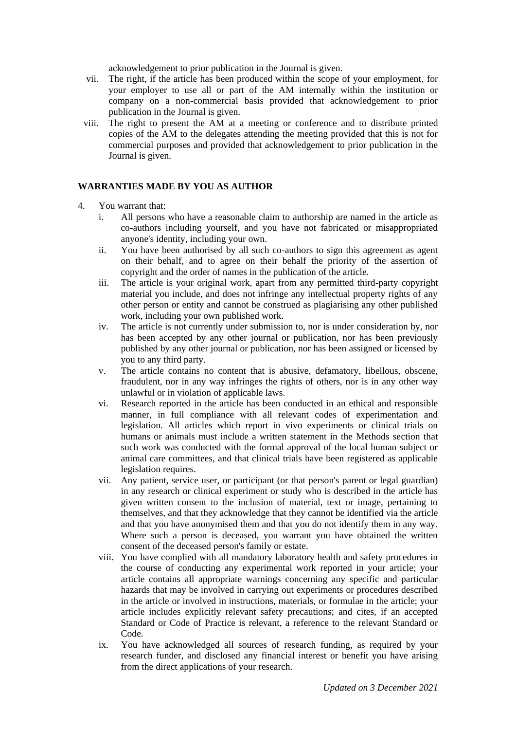acknowledgement to prior publication in the Journal is given.

- vii. The right, if the article has been produced within the scope of your employment, for your employer to use all or part of the AM internally within the institution or company on a non-commercial basis provided that acknowledgement to prior publication in the Journal is given.
- viii. The right to present the AM at a meeting or conference and to distribute printed copies of the AM to the delegates attending the meeting provided that this is not for commercial purposes and provided that acknowledgement to prior publication in the Journal is given.

#### **WARRANTIES MADE BY YOU AS AUTHOR**

- 4. You warrant that:
	- i. All persons who have a reasonable claim to authorship are named in the article as co-authors including yourself, and you have not fabricated or misappropriated anyone's identity, including your own.
	- ii. You have been authorised by all such co-authors to sign this agreement as agent on their behalf, and to agree on their behalf the priority of the assertion of copyright and the order of names in the publication of the article.
	- iii. The article is your original work, apart from any permitted third-party copyright material you include, and does not infringe any intellectual property rights of any other person or entity and cannot be construed as plagiarising any other published work, including your own published work.
	- iv. The article is not currently under submission to, nor is under consideration by, nor has been accepted by any other journal or publication, nor has been previously published by any other journal or publication, nor has been assigned or licensed by you to any third party.
	- v. The article contains no content that is abusive, defamatory, libellous, obscene, fraudulent, nor in any way infringes the rights of others, nor is in any other way unlawful or in violation of applicable laws.
	- vi. Research reported in the article has been conducted in an ethical and responsible manner, in full compliance with all relevant codes of experimentation and legislation. All articles which report in vivo experiments or clinical trials on humans or animals must include a written statement in the Methods section that such work was conducted with the formal approval of the local human subject or animal care committees, and that clinical trials have been registered as applicable legislation requires.
	- vii. Any patient, service user, or participant (or that person's parent or legal guardian) in any research or clinical experiment or study who is described in the article has given written consent to the inclusion of material, text or image, pertaining to themselves, and that they acknowledge that they cannot be identified via the article and that you have anonymised them and that you do not identify them in any way. Where such a person is deceased, you warrant you have obtained the written consent of the deceased person's family or estate.
	- viii. You have complied with all mandatory laboratory health and safety procedures in the course of conducting any experimental work reported in your article; your article contains all appropriate warnings concerning any specific and particular hazards that may be involved in carrying out experiments or procedures described in the article or involved in instructions, materials, or formulae in the article; your article includes explicitly relevant safety precautions; and cites, if an accepted Standard or Code of Practice is relevant, a reference to the relevant Standard or Code.
	- ix. You have acknowledged all sources of research funding, as required by your research funder, and disclosed any financial interest or benefit you have arising from the direct applications of your research.